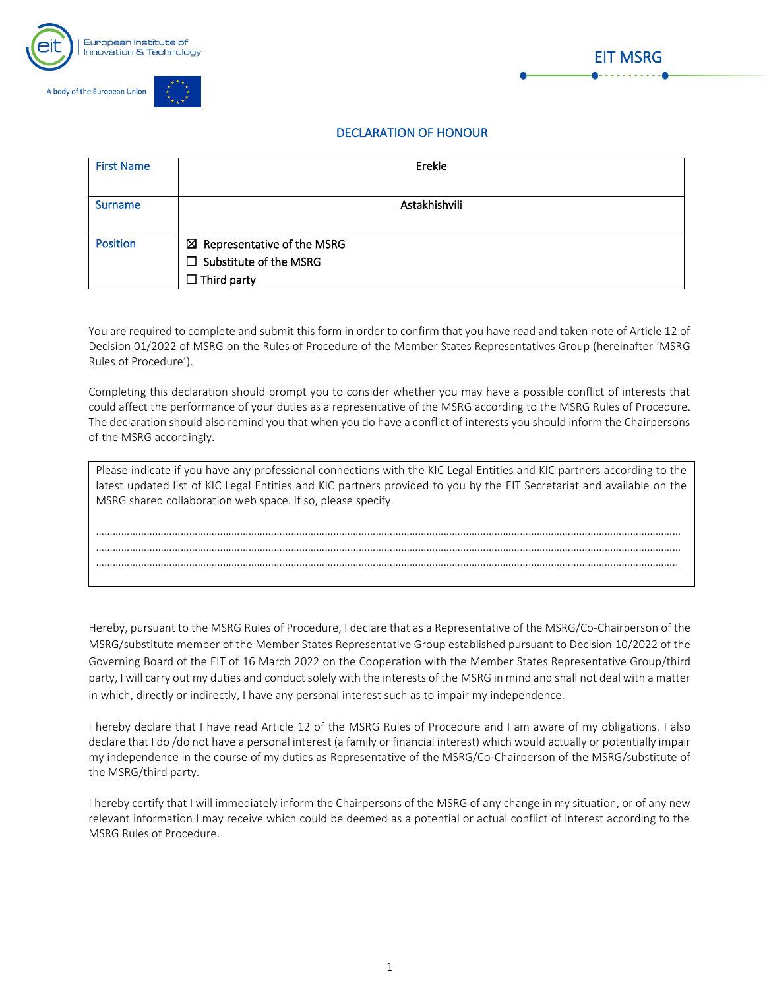



## DECLARATION OF HONOUR

| <b>First Name</b> | Erekle                                                                                        |
|-------------------|-----------------------------------------------------------------------------------------------|
| <b>Surname</b>    | Astakhishvili                                                                                 |
| <b>Position</b>   | $\boxtimes$ Representative of the MSRG<br>$\Box$ Substitute of the MSRG<br>$\Box$ Third party |

You are required to complete and submit this form in order to confirm that you have read and taken note of Article 12 of Decision 01/2022 of MSRG on the Rules of Procedure of the Member States Representatives Group (hereinafter 'MSRG Rules of Procedure').

Completing this declaration should prompt you to consider whether you may have a possible conflict of interests that could affect the performance of your duties as a representative of the MSRG according to the MSRG Rules of Procedure. The declaration should also remind you that when you do have a conflict of interests you should inform the Chairpersons of the MSRG accordingly.

| Please indicate if you have any professional connections with the KIC Legal Entities and KIC partners according to the<br>latest updated list of KIC Legal Entities and KIC partners provided to you by the EIT Secretariat and available on the<br>MSRG shared collaboration web space. If so, please specify. |
|-----------------------------------------------------------------------------------------------------------------------------------------------------------------------------------------------------------------------------------------------------------------------------------------------------------------|
|                                                                                                                                                                                                                                                                                                                 |
|                                                                                                                                                                                                                                                                                                                 |
|                                                                                                                                                                                                                                                                                                                 |
|                                                                                                                                                                                                                                                                                                                 |
|                                                                                                                                                                                                                                                                                                                 |

Hereby, pursuant to the MSRG Rules of Procedure, I declare that as a Representative of the MSRG/Co-Chairperson of the MSRG/substitute member of the Member States Representative Group established pursuant to Decision 10/2022 of the Governing Board of the EIT of 16 March 2022 on the Cooperation with the Member States Representative Group/third party, I will carry out my duties and conduct solely with the interests of the MSRG in mind and shall not deal with a matter in which, directly or indirectly, I have any personal interest such as to impair my independence.

I hereby declare that I have read Article 12 of the MSRG Rules of Procedure and I am aware of my obligations. I also declare that I do /do not have a personal interest (a family or financial interest) which would actually or potentially impair my independence in the course of my duties as Representative of the MSRG/Co-Chairperson of the MSRG/substitute of the MSRG/third party.

I hereby certify that I will immediately inform the Chairpersons of the MSRG of any change in my situation, or of any new relevant information I may receive which could be deemed as a potential or actual conflict of interest according to the MSRG Rules of Procedure.